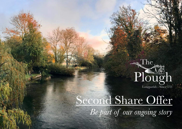

# Second Share Offer

*Be part of our ongoing story*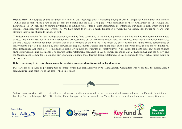**Disclaimer:** The purpose of this document is to inform and encourage those considering buying shares in Longparish Community Pub Limited (LCPL), and to make them aware of the process, the benefits and the risks. The plan for the completion of the refurbishment of The Plough Inn, Longparish (The Plough) and its community facilities is outlined here. More detailed information is contained in our Business Plan, which should be read in conjunction with this Share Prospectus. We have aimed to avoid too much duplication between the two documents, though there are some elements that we are obliged to include in both.

This document contains forward-looking statements, including forecasts relating to the financial position of the Society. The Management Committee believes that the forecasts reflected in these statements are reasonable but will involve unknown risks, uncertainties and other factors which may cause the actual results, financial condition, performance or achievements of the Society, to be materially different from any future results, performance or achievements expressed or implied by those forward-looking statements. Factors that might cause such a difference include, but are not limited to, those discussed in Appendix no 6 of the Business Plan.) Given these uncertainties, prospective investors are cautioned not to place any undue reliance on those forward-looking statements. The forward-looking statements contained in this document are made as at 27th April 2022 and the Society and the Management Committee is not under any obligation to update those forward-looking statements in this document to reflect actual future events or developments.

#### **Before deciding to invest, please consider seeking independent financial or legal advice.**

Due care has been taken in preparing this document which has been approved by the Management Committee who vouch that the information it contains is true and complete to the best of their knowledge.



**Acknowledgments:** LCPL is grateful for the help, advice and funding, as well as ongoing support, it has received from The Plunkett Foundation, Locality, Power to Change, LEADER, The Key Fund, Longparish Parish Council, Test Valley Borough Council and Hampshire County Council.

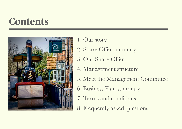# **Contents**



- 1. Our story
- 2. Share Offer summary
- 3. Our Share Offer
- 4. Management structure
- 5. Meet the Management Committee
- 6. Business Plan summary
- 7. Terms and conditions
- 8. Frequently asked questions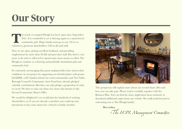# **Our Story**

The newly re-vamped Plough has been open since September<br>2021. It is wonderful to see it thriving again as a much-loved<br>community pub. Huge thanks must go to our 150 or so<br>volunteers concreus shareholders (240 in all) and 2021. It is wonderful to see it thriving again as a much-loved community pub. Huge thanks must go to our 150 or so volunteers, generous shareholders (240 in all) and staff.

Now we are open, getting excellent feedback, and providing employment for more than 20 full and part-time staff. But there's a lot more to do and we still need to spend some more money to allow The Plough to continue as a thriving and profitable destination pub and community hub.

It's extremely encouraging that grant making bodies have shown their confidence in our project by supporting our detailed plans with grants. LEADER, a EU funded scheme for rural communities and Test Valley Borough Council's Community Asset Fund have already pledged valuable contributions. But they can only pledge a proportion of what we need. We have to raise our share too, hence the launch of this Second Community Shares Offer.

We would be delighted if you would join the hundreds of existing shareholders, or, if you are already a member, you could up your investment or buy some shares for a friend or family member.



This prospectus will explain more about our second share offer and how you can take part. Please read it carefully, together with the Business Plan. You can find the share application form enclosed, or download additional copies from our website. We really look forward to welcoming you to The Plough family!

Best wishes,

Th*e LCPL Mana*ge*ment Commi*tt*ee*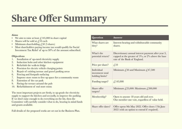# **Share Offer Summary**

#### **Aims**

- We aim to raise at least  $\ell$ , 145,000 in share capital
- Shares will be sold at  $f<sub>i</sub>10$  each
- Minimum shareholding  $\angle$  50 (5 shares)
- Most shareholders paying income tax would qualify for Social Investment Tax Relief of up to 30% of the amount subscribed.

#### **Objectives**

- 1. Installation of up-rated electricity supply
- 2. Induction hobs and other kitchen equipment
- 3. Refurbish the walk-in fridge
- 4. Provision for electric vehicle charging points
- 5. Repair of existing tarmac and gravel parking areas
- 6. Fencing and footpath surfacing
- 7. Improve store room to free up space for a community room
- 8. Extension of the car park
- 9. Paving the terrace around the pub
- 10. Refurbishment of end store room

The most important projects are firstly, to up-grade the electricity supply to support the kitchen and secondly, to improve the parking. If we don't raise enough to do everything on the list, then the Committee will carefully consider what to do, bearing in mind funds and grants available.

Full details of the proposed works are set out in the Business Plan.

| Question                                          | <b>Answer</b>                                                                                                                                   |
|---------------------------------------------------|-------------------------------------------------------------------------------------------------------------------------------------------------|
| What shares are<br>they?                          | Interest-bearing and withdrawable community<br>shares.                                                                                          |
| What's the<br>potential return?                   | Discretionary annual interest payment after year 3,<br>capped at the greater of $5\%$ , or $2\%$ above the base<br>rate of the Bank of England. |
| Price per share?                                  | $\text{\textsterling}10$                                                                                                                        |
| Individual<br>investment total<br>holding limits? | Minimum $\text{\textsterling}50$ and Maximum $\text{\textsterling}47,500$                                                                       |
| Funding target?                                   | f, 145,000                                                                                                                                      |
| Share offer<br>targets?                           | Minimum $f(25,000)$ : Maximum $f(200,000)$                                                                                                      |
| Membership?                                       | Open to anyone 18 years old and over.<br>One member one vote, regardless of value held.                                                         |
| Share offer dates?                                | Offer opens 9th May 2022. Offer closes 17th June<br>2022 (with an option to extend if required).                                                |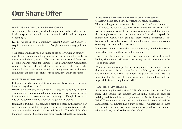## **Our Share Offer**

#### **WHAT IS A COMMUNITY SHARE OFFER?**

A community share offer provides the opportunity to be part of a truly local enterprise, accountable to the community while both serving and benefitting it.

LCPL was set up as a Community Benefit Society (the Society) to acquire, operate and revitalise the Plough as a community pub and hub.

Your shares will make you a Member of the Society, with an equal vote regardless of your shareholding. Your involvement thereafter can be as much or as little as you wish. You can vote at the Annual Members' Meeting (AMM); stand for election to the Management Committee; volunteer skills to help behind the scenes or just make use of the community hub. We are encouraging as many members of the local community as possible to volunteer their time, now and in the future.

#### **WHAT'S IN IT FOR ME?**

It depends on what you want! Maybe you just always fancied owning a bit of an English rural pub?

However, this isn't only about the pub. It is also about helping to sustain a community. There is limited financial reward. This is about investing in the future of the community and ensuring the Plough thrives as a hub of the community and is run for the good of everyone.

It might be daytime social contact, a drink or a meal in the friendly bar and restaurant, a drink in the garden in the summer, coffee and a cake after you've walked the dog or dropped the kids off at school. It offers the warm feeling of belonging and having really helped the community.

#### **HOW DOES THE SHARE ISSUE WORK AND WHAT GUARANTEES DO I HAVE WHEN BUYING SHARES?**

This is a long-term investment for the benefit of the community. LCPL's rules include an asset lock, which means that shares in LCPL will not increase in value. If the Society is wound up and, the value of the Society's assets is more than the value of the share capital, the shareholders would only get back their original investment. Any balance will need to be transferred to another community organisation or society that has a similar asset lock.

If the asset value was lower than the share capital, shareholders would receive back less than their original investment.

However, as the shares are issued by a corporate body with limited liability, shareholders will never have to pay anything more above the cost of their shares.

When the business is in profit, the Society aims to pay interest on the shares at a rate to be recommended by the Management Committee and voted on at the AMM. Our target is to pay interest of at least  $3\%$ from the fourth year of share ownership. Shareholders will be responsible for declaring this to HMRC.

#### **CAN I SELL MY SHARES?**

Shares can only be sold back to LCPL after a lock-in of 3 years from issue. This ensures the business has an initial period of financial stability and is an HMRC requirement for Social Investment Tax Relief. Three months written notice of withdrawal is required and the Management Committee has a duty to control withdrawals. If there are insufficient funds or new investors to purchase the shares, withdrawal may be delayed or may be refused.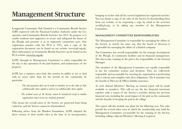## **Management Structure**

Longparish Community Pub Limited is a Community Benefit Society (CBS) registered with the Financial Conduct Authority under the Cooperative and Community Benefit Societies Act 2014. Its purpose is to enable residents and supporters to secure and safeguard the future of the Plough and promote it as an important community asset. Our registration number with the FCA is 7951, and a copy of the registration document can be found on our website (www.lcpl.org.uk). More information on Community Benefit Societies can be found on the FCA website [\(www.fca.org.uk](http://www.fca.org.uk)).

LCPL (through its Management Committee) is solely responsible for the day to day operation of the pub business, and maintenance of the property.

LCPL has a statutory asset lock; this restricts its ability to use or deal with its assets other than for the benefit of the community. In particular:

- · *The only payments that can be made to members are to the value of their withdrawable share capital or interest on withdrawable share capital.*
- · *The residual assets of the Society cannot be transferred except to another organisation whose assets are similarly protected.*

This means the overall assets of the Society are protected from being cashed in, and the Society cannot be demutualised.

Following advice from the Plunkett Foundation, LCPL adopted the latest version of their model rules at the time of its incorporation, bringing us in line with all the current legislation for registered societies. You can obtain a copy of the rules of the Society by downloading them from our website, or by requesting a copy by email to the secretary  $(\sec(a)$ lcpl.org), or by asking any member of the Management **Committee** 

#### **MANAGEMENT COMMITTEE RESPONSIBILITIES**

The Management Committee is responsible for managing the affairs of the Society in exactly the same way that the board of directors is responsible for managing the affairs of a limited company.

The Committee has overall responsibility for the strategic development of the Plough, its community facilities and its financial management. The day-to-day running of the pub is the responsibility of the General Manager.

The members of the Management Committee are equally responsible in law for committee actions and decisions. They are collectively responsible and accountable for ensuring the organisation is performing well, is solvent and complies with all its obligations. The Committee has the benefit of Director & Officer liability insurance.

At each Annual Members' Meeting an annual report will be made available to members. This will set out the key financial statements together with a report of the Society's activities during the previous financial year, including the social impact of the pub on the community and the benefits of keeping the pub in the village.

The report will also include any plans for the following year. The rules provide for several other ways in which the membership may hold the Management Committee accountable for the running of the Society, including calling a Special Members' Meeting if required.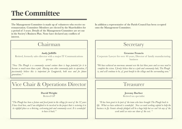## **The Committee**

The Management Committee is made up of volunteers who receive no remuneration. Committee Members are elected by the Shareholders for a period of 3 years. Details of the Management Committee are set out in the Society's Business Plan. None have declared any conflicts of interest.

### Chairman

#### **Andy Jolliffe**

Retired, formerly sales director with a major IT Communications group

*"Now The Plough is a community owned venture there is huge potential for it to become so much more than a pub. Having seen other community pubs in operation, I passionately believe this is important for Longparish, both now and for future generations."*

## Vice Chair & Operations Director

#### **David Wright** Retired GP

*"The Plough has been a fixture and focal point in the village for most of the 32 years I have lived here, and I am delighted to be involved in the project that is restoring it to its rightful place as a thriving, welcoming pub and community asset. It is wonderful to have it back."*

In addition a representative of the Parish Council has been co-opted onto the Management Committee.

### **Secretary**

#### **Graeme Francis**

Corporate Lawyer for over 40 years, Director of family manufacturing business

*"We have achieved an enormous amount over the last three years and we now need to complete the vision. I firmly believe that as a pub and community hub, The Plough is, and will continue to be, of great benefit to the village and the surrounding area."*

### Treasurer

#### **Jeremy Barber**  Retired tax specialist

*"It has been great to be part of the team who have brought The Plough back to life. What we have achieved is wonderful. Now we need working capital to help the business to fly. Grants already pledged will be a huge help but we can't do any of the work until we raise our share of the cost. "*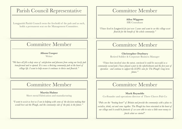### Parish Council Representative

Longparish Parish Council owns the freehold of the pub and as such, holds a permanent seat on the Management Committee.

### Committee Member

**Alison Cooper** Writer

*"We have all felt a deep sense of satisfaction and pleasure from seeing our lovely pub transformed and re-opened. It is now a thriving community pub at the heart of village life. I want to help ensure it continues to thrive and flourish."*

### Committee Member

**Martin Hulme** Sheet metal Fabrication and manufacturing

*"I want to assist as best as I can in helping with some of the decision making that would best suit the Plough, and the community side of the pub, in the future."*

### Committee Member

**Ailsa Wiggans** HR Consultant

*"I have lived in Longparish for just over 5 years and want to see this village asset flourish for the benefit of the whole community."*

### Committee Member

#### **Christopher Duxbury**

Retired Soldier & Corporate Business Manager

*"I have been involved since the outset, convinced it could be successful as a community owned pub. I have played a part in the refurbishment and the first year of operation - and continue to support the LCPL's aim for The Plough's long-term future."*

### Committee Member

#### **Mark Reynolds**

Co-Founder and operations director of Three Cheers Pub Co

*"Pubs are the "beating heart" of Britain and provide the community with a place to socialise, drink, eat and come together. The Plough has been reinstated at the heart of our village and it would be fantastic if we were able to raise a little more money to finish what we started".*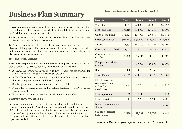## **Business Plan Summary**

**Four year trading profit and loss forecast (£)**

This section contains a summary of the more comprehensive information that can be found in the business plan, which contains full details of profit and loss/cash flow and revenue forecasts etc.

Please also refer to filed accounts on our website. As with all forecasts there can be no guarantee of future performance.

LCPL needs to make a profit to flourish, but generating large profits is not the objective of the project. The primary driver is to ensure the long-term health and independence of the Plough as a pub and community hub. The aim is also to encourage social cohesion.

#### **RAISING THE MONEY**

As the business plan explains, the total investment required to carry out all the works needed is  $\angle 220,600$ . Funding for the works will come from:

- A 'LEADER' grant, which will provide 40% of approved expenditure for some of the works, up to a maximum of  $\sqrt{50,800}$
- A Test Valley Borough Council Community Asset Fund grant for 50% of the cost of repairs to the outbuildings  $(f, 17,500)$
- Smaller grants and donations already received  $\text{\emph{f}}\,6.300$
- From other potential grants and donations (including  $\ell$ , 1,900 from the Parish Council)
- From the community share capital raised from this Share Offer

#### **CONVERSION TO SHARES**

All subscription monies received during the share offer will be held in a separate bank account. Once the amount subscribed exceeds the minimum  $(6.25,000)$ , we will start using the funds (by converting subscription monies into shares) to implement the business plan. Shares will be allotted and issued in regular batches. Share certificates will be issued electronically but hard copies are available on request.

| <b>Income</b>                                                                                 | Year 1  | Year 2  | Year 3  | Year 4  |
|-----------------------------------------------------------------------------------------------|---------|---------|---------|---------|
| Wet sales                                                                                     | 154,851 | 208,000 | 214,240 | 220,667 |
| Food (dry) sales                                                                              | 198,518 | 312,000 | 321,360 | 331,001 |
| Costs of goods sold                                                                           | 133,627 | 195,000 | 200,850 | 206,876 |
| Gross contribution                                                                            | 219,742 | 325,000 | 334,750 | 344,793 |
| <b>Salaries</b>                                                                               | 137,853 | 168,800 | 173,864 | 175,409 |
| Operating costs - fixed                                                                       | 34,192  | 43,412  | 44,714  | 44,850  |
| <b>Operating costs -</b><br>variable                                                          | 26,346  | 46,744  | 48,146  | 49,591  |
| Equipment repairs &<br>renewal                                                                |         | 10,000  | 10,300  | 10,609  |
| Rent                                                                                          | 9,450   | 9,450   | 9,450   | 9,450   |
| <b>Total Costs</b>                                                                            | 207,842 | 278,406 | 286,475 | 289,909 |
| <b>EBITDA</b> (Earnings<br><b>Before Interest, Taxes,</b><br>Depreciation, &<br>Amortization) | 11,901  | 46,594  | 48,275  | 54,883  |
| Loan repayment                                                                                | 7,143   | 7,143   | 7,143   | 7,143   |
| Loan interest                                                                                 | 2,017   | 2,200   | 2,200   | 2,200   |
| Interest on community<br>shares                                                               |         |         |         | 9,900   |
| Surplus (deficit)<br>before tax                                                               | 3,336   | 37,251  | 38,932  | 35,641  |

#### *(Assumes 3% annual growth for income and costs from year 2)*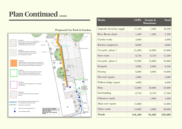## **Plan Continued …..**



#### **Proposed Car Park & Garden**

| Works                      | <b>LCPL</b> | <b>Grants &amp;</b><br><b>Donations</b> | Total   |
|----------------------------|-------------|-----------------------------------------|---------|
| Upgrade electricity supply | 11,100      | 7,400                                   | 18,500  |
| River Room chairs          | 1,400       | 1,300                                   | 2,700   |
| Garden works               | 2,000       |                                         | 2,000   |
| Kitchen equipment          | 8,000       |                                         | 8,000   |
| Car park - phase 1         | 21,000      | 14,000                                  | 35,000  |
| Store room                 | 8,750       | 8,750                                   | 17,500  |
| Car park - phase 2         | 19,200      | 12,800                                  | 32,000  |
| Footpath                   | 3,900       | 2,600                                   | 6,500   |
| Fencing                    | 6,000       | 4,000                                   | 10,000  |
| Flat roof repairs          | 5,000       |                                         | 5,000   |
| Walk-in fridge repairs     | 4,000       |                                         | 4,000   |
| Patio                      | 15,000      | 10,000                                  | 25,000  |
| End building               | 8,750       | 8,750                                   | 17,500  |
| Chimneys repair            |             | 1,900                                   | 1,900   |
| Main roof repairs          | 15,000      |                                         | 15,000  |
| Other works                | 15,000      | 5,000                                   | 20,000  |
| <b>Totals</b>              | 144,100     | 76,500                                  | 220,600 |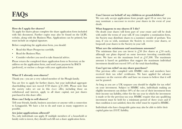## **FAQ**

#### **How do I apply for shares?**

To apply for shares please complete the share application form included with this document. Further copies may also be found on the LCPL website, along with the Business Plan. Applications can be printed, but must include an original signature.

Before completing the application form, you should:

- Read this Share Prospectus carefully.
- Read the Business Plan.
- Consider whether you need to take financial advice.

Please return the completed share application form to Secretary at the address on the application form, and send your payment by BACS (preferred), or enclose a cheque with your application form

#### **What if I already own shares?**

Thank you - you are a very valued member of the Plough family.

You are free to apply for further shares, but your individual aggregate shareholding must not exceed 4750 shares  $(f.47,500)$ . Please note that the society rules set out in this share offer, including those on withdrawal and interest, apply to all share capital, not just shares purchased in this share offer.

#### **How can I help to sell shares?**

Tell your friends, family, business associates or anyone with a connection to Longparish. We have a lot to do and want as many supporters as possible.

#### **Are joint applications allowed?**

No, only individuals can apply. If multiple members of a household or family wish to invest, they should each fill out a share application form.

#### **Can I invest on behalf of my children or grandchildren?**

We can only accept applications from people aged 18 or over, but you may nominate a successor to receive your shares in the event of your death.

#### **What happens to my shares if I die?**

On death your shares will form part of your estate and will be dealt with under the terms of your will. If you complete a nomination form, the Society may distribute shares to a nominee outside of probate. You may, if you so wish, nominate the Society to receive your shares, or bequeath your shares to the Society in your will.

#### **What are the minimum and maximum amounts?**

The minimum that you can invest is  $\angle 50$  (five shares at  $\angle 10$  each), although our plans depend on some investors investing considerably more. We have set the maximum level at  $f(47,500)$ . The maximum amount is based on guidelines that suggest the maximum individual investment should not exceed 10% of the total shareholding.

#### **Can I get tax relief on my share purchase?**

Our previous offer complied with HMRC rules and members have received their tax relief certificates. We have applied for advance assurance on the current offer and have no reason to believe that it will not be granted.

As long as you are a UK taxpayer you should be eligible for tax relief on your investment. Subject to HMRC rules, individuals making an eligible investment can deduct 30% of the cost of their investment from their income tax liability, either for the tax year in which the investment is made or for the previous tax year. HMRC require that any qualifying investment must be held for a minimum period of three years and if that condition is not satisfied, then the relief must be repaid to HMRC.

Individuals who have chargeable gains may also be able to defer their capital gains tax (CGT) liability.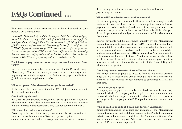## **FAQs Continued …..**

The actual amount of tax relief you can claim will depend on your personal tax circumstances:

*For example, Freda invests £10,000 in the tax year 2022-23 in SITR qualifying shares. The SITR relief is*  $\angle$  *3,000 (30% of*  $\angle$  *10,000). Her tax liability for the year before SITR relief is*  $\angle$  *7,500 which she can reduce to*  $\angle$  *4,500 (* $\angle$  *7,500 less £3,000) as a result of her investment. Remember applications for tax relief are made to HMRC by you, the investor, not by LCPL, and so we cannot give any guarantees. Provided we are approved for SITR, we will issue certificates to members confirming that their investment qualifies, and we will explain how to claim. You can find out more on the HMRC website, or you may wish to take professional advice.* 

#### **Do I have to pay income tax on any interest I received from LCPL?**

Interest from your shares is liable to income tax. But the Personal Savings Allowance (PSA) means the majority of savers in the UK no longer have to pay any tax on their savings income. Basic-rate taxpayers qualify for a £1,000 a year in savings income tax-free.

#### **What happens if the share offer target is exceeded?**

If the share offer raises more than the  $\sqrt{(200,000)}$  maximum amount, then we will close the offer.

#### **Can I sell my shares?**

No, these are withdrawable shares, so you have to apply to the Society to withdraw your shares. The statutory asset lock is also in place to ensure that any increase in business value is only used for community benefit.

#### **When can I withdraw my shares?**

According to the rules of the Society, shares cannot be withdrawn for at least three years from the date of issue (except in exceptional circumstances such as death or bankruptcy of a member) and then only

if the Society has sufficient reserves to permit withdrawal without jeopardising the business.

#### **When will I receive interest, and how much?**

We will start paying interest when the Society has sufficient surplus funds available, i.e. once we have met our other obligations (such as finance payments and other overheads) and have built up adequate reserves to ensure we can protect the business. We anticipate this will be after year three of operations and is subject to the discretion of the Management Committee.

Interest payments will be determined annually by the Management Committee, (subject to approval at the AMM) which will prioritise longterm profitability over short-term payments to shareholders. Interest will be paid gross, and may be taxable. It will be the member's responsibility to declare any such earnings to HMRC if applicable. Our target is to be able to pay annual interest of at least 3% after the shares have been held for three years. Please note that our rules limit interest payments to a maximum of 5%, or 2% above the base rate of the Bank of England, whichever is the greater.

#### **Can I buy shares after the share offer has closed?**

We strongly encourage people to invest up-front so that we can properly judge the level of support and plan accordingly. It is likely however that there will be opportunities for new members to buy shares in LCPL at a later date.

#### **Can a company apply?**

A company may apply to be a member and hold shares in the same way as an individual. The company will be required to provide the name and contact details for a single representative who will be able to vote at meetings on the company's behalf. Companies, however, cannot claim SITR.

#### **Who should I speak to if I have any further questions?**

Email info@lcpl.org.uk or contact any member of the Management Committee. You will find useful information on the Plunkett Foundation website [\(www.plunkett.co.uk\)](http://www.plunkett.co.uk) and from the Community Shares Unit (www.communityshares.org.uk). Additional resources are also available on the LCPL website [www.lcpl.org.uk](http://www.lcpl.org.uk)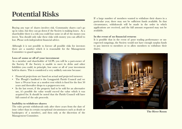## **Potential Risks**

Buying any type of shares involves risk. Community shares can't go up in value, but they can go down if the Society is making losses. As a shareholder there is a risk you could lose some or all of the money you invest. You should only take these risks with money you can afford to lose. Please seek independent financial advice.

Although it is not possible to foresee all possible risks for investors there are a number which it is reasonable for the Management Committee to guard against.

#### **Loss of some or all of your investment**

As a member and shareholder of LCPL you will be a part-owner of the Society. If the Society is unable to meet its debts and other liabilities you could, in principle, lose some or all of your investment held in shares. This is considered a very unlikely outcome because:

- Financial projections are based on actual and projected turnover.
- The Plough's landlord is the Longparish Parish Council and we have a 99-year lease at a modest rent which is fixed for the first 50 years and thereafter drops to a peppercorn rent.
- In the last resort, if the property had to be sold for an alternative use, it's possible the value would exceed the value which it was acquired for. It should be noted that the Parish Council will have full control of the sale proceeds.

#### **Inability to withdraw shares**

The rules permit withdrawals only after three years from the date of issue (other than in certain exceptional circumstances such as death or bankruptcy of a member), and then only at the discretion of the Management Committee.

If a large number of members wanted to withdraw their shares in a particular year, there may not be sufficient funds available. In that circumstance, withdrawals will be made in the order in which applications are received, and the full amount requested may not be available.

#### **In the event of no financial returns**

It is possible that in the event of poor trading performance or unexpected outgoings, the Society would not have enough surplus funds to pay interest to members or to allow members to withdraw their shares.



**The River Room**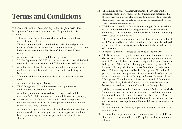## **Terms and Conditions**

This share offer will run from 9th May to the 17th June 2022. The Management Committee may extend the offer period at its sole discretion.

- 1. The minimum shareholding is 5 shares, and each share has a nominal value of  $\int f$ 10.
- 2. The maximum individual shareholding under this and previous offers is offer is  $\mathcal{L}4,750$  shares with a nominal value of  $\mathcal{L}47,500$ . No individual may own more than 10% of the total issued share capital.
- 3. All shares must be paid for in full on application.
- 4. Monies deposited with LCPL for the purchase of shares will be held securely in a separate account by LCPL until converted into shares.
- 5. All subscribers (if not already members) will become members of the Society and will be entitled to vote on matters affecting the Society.
- 6. Members will have one vote regardless of the number of shares held.
- 7. Members must be aged 18 or over.
- 8. The Management Committee reserves the right to refuse applications at its absolute discretion.
- 9. All subscription monies received will be ring-fenced, and if the minimum  $(f(25,000))$  is not reached they will be returned promptly.
- 10. Shares are not transferable other than in certain exceptional circumstances such as death or bankruptcy of a member, and they cannot be sold, only withdrawn.
- 11. Members may apply to the Society to withdraw their shares. Save in the event of death or bankruptcy, withdrawal applications will not be accepted during the first three years after the issue of their shares.
- 12. The amount of share withdrawal permitted each year will be dependent on the performance of the business and determined at the sole discretion of the Management Committee. **You should therefore view this as a long-term investment and review your finances accordingly.**
- 13. Withdrawals can only be funded from trading profits or new share capital and are discretionary, being subject to the Management Committee's satisfaction that withdrawal is consistent with the longterm interests of the Society.
- 14. The value of each share cannot increase above its nominal value of  $\angle$  10. You should be aware that the value of shares may be reduced if the value of the Society's assets falls substantially or in the event of insolvency.
- 15. A member's liability is limited to the value of their shares.
- 16. The Society aims to pay interest on shares after three years from the date of issue. Our rules allow interest payments up to a maximum rate of 5%, or 2% above the Bank of England base rate, whichever is the greater. This business plan suggests that a target rate of 3% interest could be paid after three years from their respective issue dates. This rate may be varied by the Management Committee in place at that time. Any payment of interest would be subject to the financial performance of the Society, at the sole discretion of the Management Committee and subject to approval by Members at an AAM. Over time, the level of interest paid to Members may vary between zero to the maximum allowed in the Society rules.
- 17. LCPL is registered with the Financial Conduct Authority, No. 7951. Community shares are primarily to support a social return and not for financial gain. This share offer is not regulated by the FCA, there is no right of complaint to the Financial Ombudsman Service and nor can investors apply to the Financial Services Compensation Scheme.
- 18. ID may be requested from any applicants paying for shares from a non-UK bank.
- 19. Email will be the primary mode of communication from LCPL to shareholders, who should keep LCPL updated with a current email address.